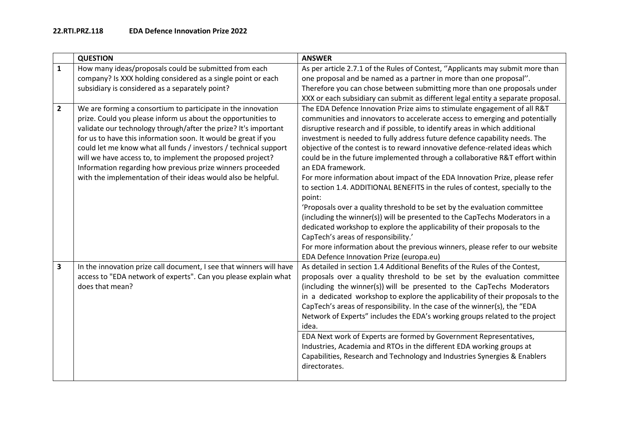|                         | <b>QUESTION</b>                                                                                                                                                                                                                                                                                                                                                                                                                                                                                                                    | <b>ANSWER</b>                                                                                                                                                                                                                                                                                                                                                                                                                                                                                                                                                                                                                                                                                                                                                                                                                                                                                                                                                                                                                                                                                  |
|-------------------------|------------------------------------------------------------------------------------------------------------------------------------------------------------------------------------------------------------------------------------------------------------------------------------------------------------------------------------------------------------------------------------------------------------------------------------------------------------------------------------------------------------------------------------|------------------------------------------------------------------------------------------------------------------------------------------------------------------------------------------------------------------------------------------------------------------------------------------------------------------------------------------------------------------------------------------------------------------------------------------------------------------------------------------------------------------------------------------------------------------------------------------------------------------------------------------------------------------------------------------------------------------------------------------------------------------------------------------------------------------------------------------------------------------------------------------------------------------------------------------------------------------------------------------------------------------------------------------------------------------------------------------------|
| $\mathbf{1}$            | How many ideas/proposals could be submitted from each<br>company? Is XXX holding considered as a single point or each<br>subsidiary is considered as a separately point?                                                                                                                                                                                                                                                                                                                                                           | As per article 2.7.1 of the Rules of Contest, "Applicants may submit more than<br>one proposal and be named as a partner in more than one proposal".<br>Therefore you can chose between submitting more than one proposals under<br>XXX or each subsidiary can submit as different legal entity a separate proposal.                                                                                                                                                                                                                                                                                                                                                                                                                                                                                                                                                                                                                                                                                                                                                                           |
| $\mathbf{2}$            | We are forming a consortium to participate in the innovation<br>prize. Could you please inform us about the opportunities to<br>validate our technology through/after the prize? It's important<br>for us to have this information soon. It would be great if you<br>could let me know what all funds / investors / technical support<br>will we have access to, to implement the proposed project?<br>Information regarding how previous prize winners proceeded<br>with the implementation of their ideas would also be helpful. | The EDA Defence Innovation Prize aims to stimulate engagement of all R&T<br>communities and innovators to accelerate access to emerging and potentially<br>disruptive research and if possible, to identify areas in which additional<br>investment is needed to fully address future defence capability needs. The<br>objective of the contest is to reward innovative defence-related ideas which<br>could be in the future implemented through a collaborative R&T effort within<br>an EDA framework.<br>For more information about impact of the EDA Innovation Prize, please refer<br>to section 1.4. ADDITIONAL BENEFITS in the rules of contest, specially to the<br>point:<br>'Proposals over a quality threshold to be set by the evaluation committee<br>(including the winner(s)) will be presented to the CapTechs Moderators in a<br>dedicated workshop to explore the applicability of their proposals to the<br>CapTech's areas of responsibility.'<br>For more information about the previous winners, please refer to our website<br>EDA Defence Innovation Prize (europa.eu) |
| $\overline{\mathbf{3}}$ | In the innovation prize call document, I see that winners will have<br>access to "EDA network of experts". Can you please explain what<br>does that mean?                                                                                                                                                                                                                                                                                                                                                                          | As detailed in section 1.4 Additional Benefits of the Rules of the Contest,<br>proposals over a quality threshold to be set by the evaluation committee<br>(including the winner(s)) will be presented to the CapTechs Moderators<br>in a dedicated workshop to explore the applicability of their proposals to the<br>CapTech's areas of responsibility. In the case of the winner(s), the "EDA<br>Network of Experts" includes the EDA's working groups related to the project<br>idea.<br>EDA Next work of Experts are formed by Government Representatives,<br>Industries, Academia and RTOs in the different EDA working groups at<br>Capabilities, Research and Technology and Industries Synergies & Enablers<br>directorates.                                                                                                                                                                                                                                                                                                                                                          |